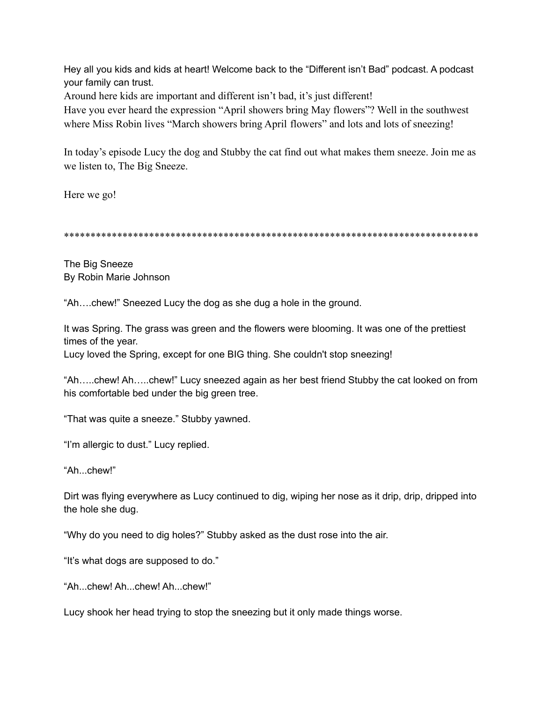Hey all you kids and kids at heart! Welcome back to the "Different isn't Bad" podcast. A podcast your family can trust.

Around here kids are important and different isn't bad, it's just different!

Have you ever heard the expression "April showers bring May flowers"? Well in the southwest where Miss Robin lives "March showers bring April flowers" and lots and lots of sneezing!

In today's episode Lucy the dog and Stubby the cat find out what makes them sneeze. Join me as we listen to, The Big Sneeze.

Here we go!

\*\*\*\*\*\*\*\*\*\*\*\*\*\*\*\*\*\*\*\*\*\*\*\*\*\*\*\*\*\*\*\*\*\*\*\*\*\*\*\*\*\*\*\*\*\*\*\*\*\*\*\*\*\*\*\*\*\*\*\*\*\*\*\*\*\*\*\*\*\*\*\*\*\*\*\*\*\*

The Big Sneeze By Robin Marie Johnson

"Ah….chew!" Sneezed Lucy the dog as she dug a hole in the ground.

It was Spring. The grass was green and the flowers were blooming. It was one of the prettiest times of the year.

Lucy loved the Spring, except for one BIG thing. She couldn't stop sneezing!

"Ah…..chew! Ah…..chew!" Lucy sneezed again as her best friend Stubby the cat looked on from his comfortable bed under the big green tree.

"That was quite a sneeze." Stubby yawned.

"I'm allergic to dust." Lucy replied.

"Ah...chew!"

Dirt was flying everywhere as Lucy continued to dig, wiping her nose as it drip, drip, dripped into the hole she dug.

"Why do you need to dig holes?" Stubby asked as the dust rose into the air.

"It's what dogs are supposed to do."

"Ah...chew! Ah...chew! Ah...chew!"

Lucy shook her head trying to stop the sneezing but it only made things worse.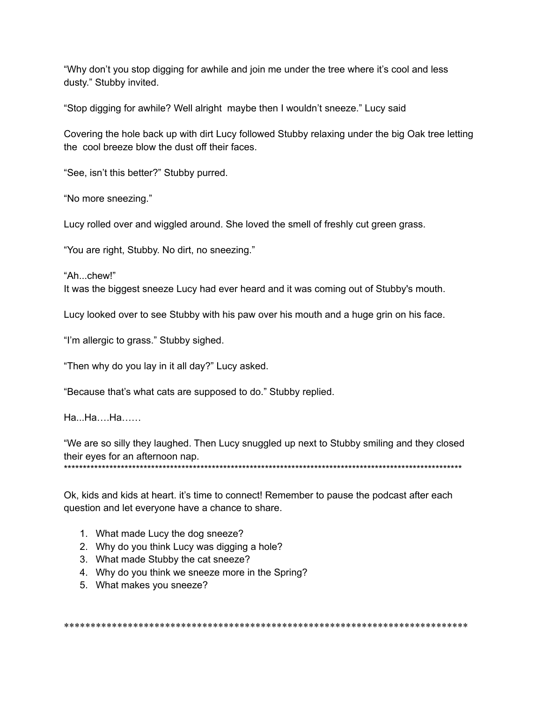"Why don't you stop digging for awhile and join me under the tree where it's cool and less dusty." Stubby invited.

"Stop digging for awhile? Well alright maybe then I wouldn't sneeze." Lucy said

Covering the hole back up with dirt Lucy followed Stubby relaxing under the big Oak tree letting the cool breeze blow the dust off their faces.

"See, isn't this better?" Stubby purred.

"No more sneezing."

Lucy rolled over and wiggled around. She loved the smell of freshly cut green grass.

"You are right, Stubby. No dirt, no sneezing."

"Ah...chew!"

It was the biggest sneeze Lucy had ever heard and it was coming out of Stubby's mouth.

Lucy looked over to see Stubby with his paw over his mouth and a huge grin on his face.

"I'm allergic to grass." Stubby sighed.

"Then why do you lay in it all day?" Lucy asked.

"Because that's what cats are supposed to do." Stubby replied.

Ha Ha Ha

"We are so silly they laughed. Then Lucy snuggled up next to Stubby smiling and they closed their eyes for an afternoon nap. \*\*\*\*\*\*\*\*\*\*\*\*\*\*\*\*\*\*\*\*\*\*\*\*\*\*\*\*\*\*\*\*\*\*\*\*\*\*\*\*\*\*\*\*\*\*\*\*\*\*\*\*\*\*\*\*\*\*\*\*\*\*\*\*\*\*\*\*\*\*\*\*\*\*\*\*\*\*\*\*\*\*\*\*\*\*\*\*\*\*\*\*\*\*\*\*\*\*\*\*\*\*\*\*\*

Ok, kids and kids at heart. it's time to connect! Remember to pause the podcast after each question and let everyone have a chance to share.

- 1. What made Lucy the dog sneeze?
- 2. Why do you think Lucy was digging a hole?
- 3. What made Stubby the cat sneeze?
- 4. Why do you think we sneeze more in the Spring?
- 5. What makes you sneeze?

\*\*\*\*\*\*\*\*\*\*\*\*\*\*\*\*\*\*\*\*\*\*\*\*\*\*\*\*\*\*\*\*\*\*\*\*\*\*\*\*\*\*\*\*\*\*\*\*\*\*\*\*\*\*\*\*\*\*\*\*\*\*\*\*\*\*\*\*\*\*\*\*\*\*\*\*